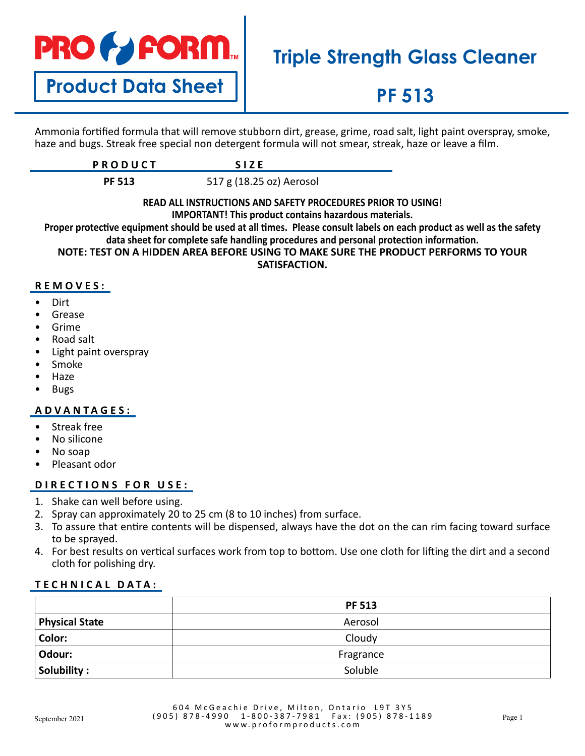

**Product Data Sheet**

# **Triple Strength Glass Cleaner**

## **PF 513**

Ammonia fortified formula that will remove stubborn dirt, grease, grime, road salt, light paint overspray, smoke, haze and bugs. Streak free special non detergent formula will not smear, streak, haze or leave a film.

| $P_{\mathbf{A}}$ $P_{\mathbf{A}}$ $P_{\mathbf{A}}$<br>11 J J J J L I |  |
|----------------------------------------------------------------------|--|
|                                                                      |  |

**PF 513** 517 g (18.25 oz) Aerosol

### **READ ALL INSTRUCTIONS AND SAFETY PROCEDURES PRIOR TO USING! IMPORTANT! This product contains hazardous materials.**

**Proper protective equipment should be used at all times. Please consult labels on each product as well as the safety data sheet for complete safe handling procedures and personal protection information. NOTE: TEST ON A HIDDEN AREA BEFORE USING TO MAKE SURE THE PRODUCT PERFORMS TO YOUR** 

**SATISFACTION.**

## **REMOVES:**

- Dirt
- **Grease**
- **Grime**
- Road salt
- Light paint overspray
- Smoke
- Haze
- Bugs

## **ADVANTAGES:**

- Streak free
- No silicone
- No soap
- Pleasant odor

## **DIRECTIONS FOR USE:**

- 1. Shake can well before using.
- 2. Spray can approximately 20 to 25 cm (8 to 10 inches) from surface.
- 3. To assure that entire contents will be dispensed, always have the dot on the can rim facing toward surface to be sprayed.
- 4. For best results on vertical surfaces work from top to bottom. Use one cloth for lifting the dirt and a second cloth for polishing dry.

## **TECHNICAL DATA:**

|                       | <b>PF 513</b> |  |
|-----------------------|---------------|--|
| <b>Physical State</b> | Aerosol       |  |
| Color:                | Cloudy        |  |
| Odour:                | Fragrance     |  |
| Solubility:           | Soluble       |  |